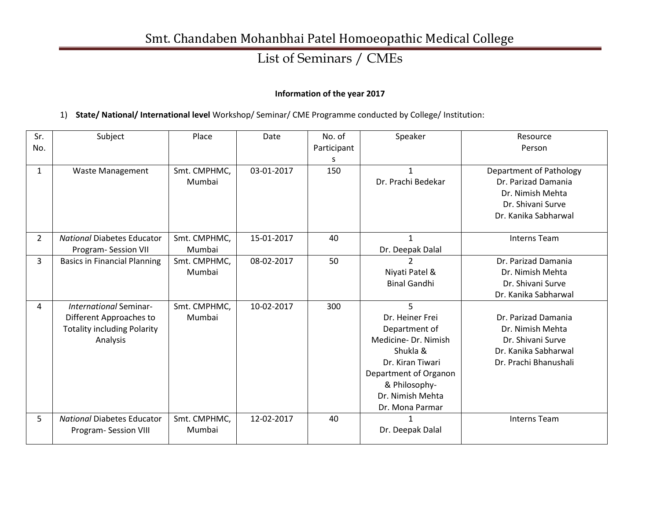### List of Seminars / CMEs

#### **Information of the year 2017**

#### 1) **State/ National/ International level** Workshop/ Seminar/ CME Programme conducted by College/ Institution:

| Sr.            | Subject                             | Place        | Date       | No. of      | Speaker               | Resource                       |
|----------------|-------------------------------------|--------------|------------|-------------|-----------------------|--------------------------------|
| No.            |                                     |              |            | Participant |                       | Person                         |
|                |                                     |              |            |             |                       |                                |
| $\mathbf{1}$   | <b>Waste Management</b>             | Smt. CMPHMC, | 03-01-2017 | 150         | 1                     | <b>Department of Pathology</b> |
|                |                                     | Mumbai       |            |             | Dr. Prachi Bedekar    | Dr. Parizad Damania            |
|                |                                     |              |            |             |                       | Dr. Nimish Mehta               |
|                |                                     |              |            |             |                       | Dr. Shivani Surve              |
|                |                                     |              |            |             |                       | Dr. Kanika Sabharwal           |
|                |                                     |              |            |             |                       |                                |
| $\overline{2}$ | <b>National Diabetes Educator</b>   | Smt. CMPHMC, | 15-01-2017 | 40          | $\mathbf{1}$          | <b>Interns Team</b>            |
|                | Program-Session VII                 | Mumbai       |            |             | Dr. Deepak Dalal      |                                |
| 3              | <b>Basics in Financial Planning</b> | Smt. CMPHMC, | 08-02-2017 | 50          |                       | Dr. Parizad Damania            |
|                |                                     | Mumbai       |            |             | Niyati Patel &        | Dr. Nimish Mehta               |
|                |                                     |              |            |             | <b>Binal Gandhi</b>   | Dr. Shivani Surve              |
|                |                                     |              |            |             |                       | Dr. Kanika Sabharwal           |
| 4              | International Seminar-              | Smt. CMPHMC, | 10-02-2017 | 300         | 5                     |                                |
|                | Different Approaches to             | Mumbai       |            |             | Dr. Heiner Frei       | Dr. Parizad Damania            |
|                | <b>Totality including Polarity</b>  |              |            |             | Department of         | Dr. Nimish Mehta               |
|                | Analysis                            |              |            |             | Medicine-Dr. Nimish   | Dr. Shivani Surve              |
|                |                                     |              |            |             | Shukla &              | Dr. Kanika Sabharwal           |
|                |                                     |              |            |             | Dr. Kiran Tiwari      | Dr. Prachi Bhanushali          |
|                |                                     |              |            |             | Department of Organon |                                |
|                |                                     |              |            |             | & Philosophy-         |                                |
|                |                                     |              |            |             | Dr. Nimish Mehta      |                                |
|                |                                     |              |            |             | Dr. Mona Parmar       |                                |
| 5              | <b>National Diabetes Educator</b>   | Smt. CMPHMC, | 12-02-2017 | 40          | 1                     | <b>Interns Team</b>            |
|                | Program- Session VIII               | Mumbai       |            |             | Dr. Deepak Dalal      |                                |
|                |                                     |              |            |             |                       |                                |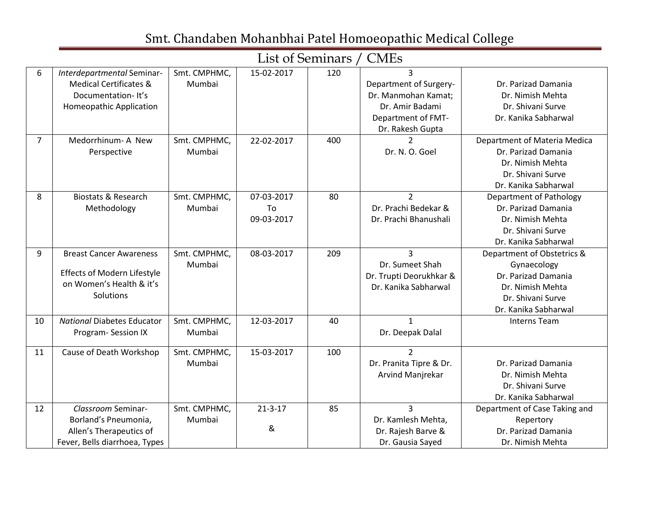|    |                                   |              |               | List of Seminars / | <b>CMEs</b>             |                               |
|----|-----------------------------------|--------------|---------------|--------------------|-------------------------|-------------------------------|
| 6  | Interdepartmental Seminar-        | Smt. CMPHMC, | 15-02-2017    | 120                | $\overline{3}$          |                               |
|    | <b>Medical Certificates &amp;</b> | Mumbai       |               |                    | Department of Surgery-  | Dr. Parizad Damania           |
|    | Documentation-It's                |              |               |                    | Dr. Manmohan Kamat:     | Dr. Nimish Mehta              |
|    | <b>Homeopathic Application</b>    |              |               |                    | Dr. Amir Badami         | Dr. Shivani Surve             |
|    |                                   |              |               |                    | Department of FMT-      | Dr. Kanika Sabharwal          |
|    |                                   |              |               |                    | Dr. Rakesh Gupta        |                               |
| 7  | Medorrhinum- A New                | Smt. CMPHMC, | 22-02-2017    | 400                | $\mathcal{P}$           | Department of Materia Medica  |
|    | Perspective                       | Mumbai       |               |                    | Dr. N. O. Goel          | Dr. Parizad Damania           |
|    |                                   |              |               |                    |                         | Dr. Nimish Mehta              |
|    |                                   |              |               |                    |                         | Dr. Shivani Surve             |
|    |                                   |              |               |                    |                         | Dr. Kanika Sabharwal          |
| 8  | <b>Biostats &amp; Research</b>    | Smt. CMPHMC, | 07-03-2017    | 80                 | $\overline{2}$          | Department of Pathology       |
|    | Methodology                       | Mumbai       | To            |                    | Dr. Prachi Bedekar &    | Dr. Parizad Damania           |
|    |                                   |              | 09-03-2017    |                    | Dr. Prachi Bhanushali   | Dr. Nimish Mehta              |
|    |                                   |              |               |                    |                         | Dr. Shivani Surve             |
|    |                                   |              |               |                    |                         | Dr. Kanika Sabharwal          |
| 9  | <b>Breast Cancer Awareness</b>    | Smt. CMPHMC, | 08-03-2017    | 209                | 3                       | Department of Obstetrics &    |
|    |                                   | Mumbai       |               |                    | Dr. Sumeet Shah         | Gynaecology                   |
|    | Effects of Modern Lifestyle       |              |               |                    | Dr. Trupti Deorukhkar & | Dr. Parizad Damania           |
|    | on Women's Health & it's          |              |               |                    | Dr. Kanika Sabharwal    | Dr. Nimish Mehta              |
|    | Solutions                         |              |               |                    |                         | Dr. Shivani Surve             |
|    |                                   |              |               |                    |                         | Dr. Kanika Sabharwal          |
| 10 | <b>National Diabetes Educator</b> | Smt. CMPHMC, | 12-03-2017    | 40                 | 1                       | <b>Interns Team</b>           |
|    | Program-Session IX                | Mumbai       |               |                    | Dr. Deepak Dalal        |                               |
| 11 | Cause of Death Workshop           | Smt. CMPHMC, | 15-03-2017    | 100                | $\overline{2}$          |                               |
|    |                                   | Mumbai       |               |                    | Dr. Pranita Tipre & Dr. | Dr. Parizad Damania           |
|    |                                   |              |               |                    | Arvind Manjrekar        | Dr. Nimish Mehta              |
|    |                                   |              |               |                    |                         | Dr. Shivani Surve             |
|    |                                   |              |               |                    |                         | Dr. Kanika Sabharwal          |
| 12 | Classroom Seminar-                | Smt. CMPHMC, | $21 - 3 - 17$ | 85                 | 3                       | Department of Case Taking and |
|    | Borland's Pneumonia,              | Mumbai       |               |                    | Dr. Kamlesh Mehta,      | Repertory                     |
|    | Allen's Therapeutics of           |              | &             |                    | Dr. Rajesh Barve &      | Dr. Parizad Damania           |
|    | Fever, Bells diarrhoea, Types     |              |               |                    | Dr. Gausia Sayed        | Dr. Nimish Mehta              |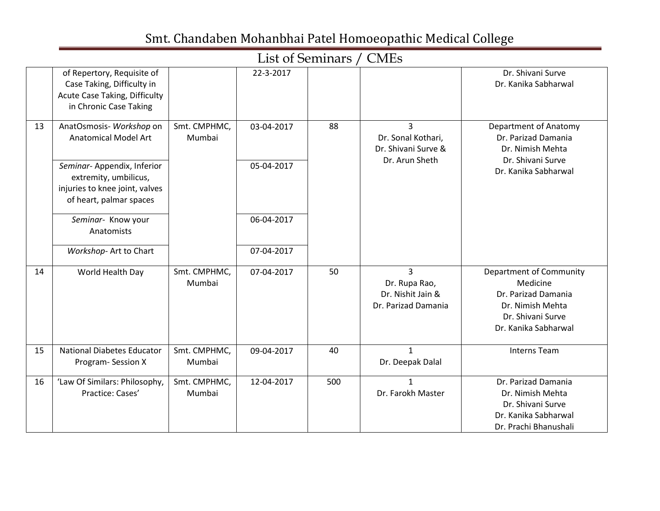#### List of Seminars / CMEs

|    | of Repertory, Requisite of<br>Case Taking, Difficulty in<br>Acute Case Taking, Difficulty<br>in Chronic Case Taking                                                         |                        | 22-3-2017                |     |                                                                               | Dr. Shivani Surve<br>Dr. Kanika Sabharwal                                                                                   |
|----|-----------------------------------------------------------------------------------------------------------------------------------------------------------------------------|------------------------|--------------------------|-----|-------------------------------------------------------------------------------|-----------------------------------------------------------------------------------------------------------------------------|
| 13 | AnatOsmosis- Workshop on<br><b>Anatomical Model Art</b><br>Seminar-Appendix, Inferior<br>extremity, umbilicus,<br>injuries to knee joint, valves<br>of heart, palmar spaces | Smt. CMPHMC,<br>Mumbai | 03-04-2017<br>05-04-2017 | 88  | $\overline{3}$<br>Dr. Sonal Kothari,<br>Dr. Shivani Surve &<br>Dr. Arun Sheth | Department of Anatomy<br>Dr. Parizad Damania<br>Dr. Nimish Mehta<br>Dr. Shivani Surve<br>Dr. Kanika Sabharwal               |
|    | Seminar- Know your<br>Anatomists                                                                                                                                            |                        | 06-04-2017               |     |                                                                               |                                                                                                                             |
|    | Workshop- Art to Chart                                                                                                                                                      |                        | 07-04-2017               |     |                                                                               |                                                                                                                             |
| 14 | World Health Day                                                                                                                                                            | Smt. CMPHMC,<br>Mumbai | 07-04-2017               | 50  | 3<br>Dr. Rupa Rao,<br>Dr. Nishit Jain &<br>Dr. Parizad Damania                | Department of Community<br>Medicine<br>Dr. Parizad Damania<br>Dr. Nimish Mehta<br>Dr. Shivani Surve<br>Dr. Kanika Sabharwal |
| 15 | <b>National Diabetes Educator</b><br>Program-Session X                                                                                                                      | Smt. CMPHMC,<br>Mumbai | 09-04-2017               | 40  | $\mathbf{1}$<br>Dr. Deepak Dalal                                              | <b>Interns Team</b>                                                                                                         |
| 16 | 'Law Of Similars: Philosophy,<br>Practice: Cases'                                                                                                                           | Smt. CMPHMC,<br>Mumbai | 12-04-2017               | 500 | $\mathbf{1}$<br>Dr. Farokh Master                                             | Dr. Parizad Damania<br>Dr. Nimish Mehta<br>Dr. Shivani Surve<br>Dr. Kanika Sabharwal<br>Dr. Prachi Bhanushali               |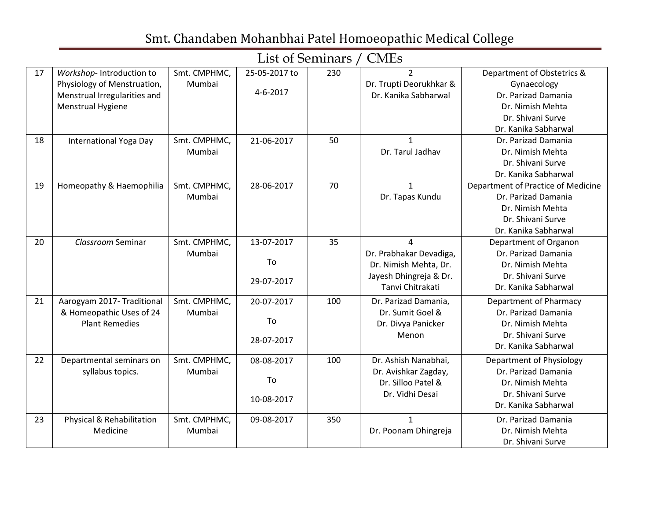|    |                                                                                                              |                        |                                 | List of Seminars / CMES |                                                                                                     |                                                                                                                                   |
|----|--------------------------------------------------------------------------------------------------------------|------------------------|---------------------------------|-------------------------|-----------------------------------------------------------------------------------------------------|-----------------------------------------------------------------------------------------------------------------------------------|
| 17 | Workshop-Introduction to<br>Physiology of Menstruation,<br>Menstrual Irregularities and<br>Menstrual Hygiene | Smt. CMPHMC,<br>Mumbai | 25-05-2017 to<br>$4 - 6 - 2017$ | 230                     | $\overline{2}$<br>Dr. Trupti Deorukhkar &<br>Dr. Kanika Sabharwal                                   | Department of Obstetrics &<br>Gynaecology<br>Dr. Parizad Damania<br>Dr. Nimish Mehta<br>Dr. Shivani Surve<br>Dr. Kanika Sabharwal |
| 18 | International Yoga Day                                                                                       | Smt. CMPHMC,<br>Mumbai | 21-06-2017                      | 50                      | $\mathbf{1}$<br>Dr. Tarul Jadhav                                                                    | Dr. Parizad Damania<br>Dr. Nimish Mehta<br>Dr. Shivani Surve<br>Dr. Kanika Sabharwal                                              |
| 19 | Homeopathy & Haemophilia                                                                                     | Smt. CMPHMC,<br>Mumbai | 28-06-2017                      | 70                      | $\mathbf{1}$<br>Dr. Tapas Kundu                                                                     | Department of Practice of Medicine<br>Dr. Parizad Damania<br>Dr. Nimish Mehta<br>Dr. Shivani Surve<br>Dr. Kanika Sabharwal        |
| 20 | Classroom Seminar                                                                                            | Smt. CMPHMC,<br>Mumbai | 13-07-2017<br>To<br>29-07-2017  | 35                      | 4<br>Dr. Prabhakar Devadiga,<br>Dr. Nimish Mehta, Dr.<br>Jayesh Dhingreja & Dr.<br>Tanvi Chitrakati | Department of Organon<br>Dr. Parizad Damania<br>Dr. Nimish Mehta<br>Dr. Shivani Surve<br>Dr. Kanika Sabharwal                     |
| 21 | Aarogyam 2017- Traditional<br>& Homeopathic Uses of 24<br><b>Plant Remedies</b>                              | Smt. CMPHMC,<br>Mumbai | 20-07-2017<br>To<br>28-07-2017  | 100                     | Dr. Parizad Damania,<br>Dr. Sumit Goel &<br>Dr. Divya Panicker<br>Menon                             | Department of Pharmacy<br>Dr. Parizad Damania<br>Dr. Nimish Mehta<br>Dr. Shivani Surve<br>Dr. Kanika Sabharwal                    |
| 22 | Departmental seminars on<br>syllabus topics.                                                                 | Smt. CMPHMC,<br>Mumbai | 08-08-2017<br>To<br>10-08-2017  | 100                     | Dr. Ashish Nanabhai,<br>Dr. Avishkar Zagday,<br>Dr. Silloo Patel &<br>Dr. Vidhi Desai               | Department of Physiology<br>Dr. Parizad Damania<br>Dr. Nimish Mehta<br>Dr. Shivani Surve<br>Dr. Kanika Sabharwal                  |
| 23 | Physical & Rehabilitation<br>Medicine                                                                        | Smt. CMPHMC,<br>Mumbai | 09-08-2017                      | 350                     | $\mathbf{1}$<br>Dr. Poonam Dhingreja                                                                | Dr. Parizad Damania<br>Dr. Nimish Mehta<br>Dr. Shivani Surve                                                                      |

List of Seminars / CMEs